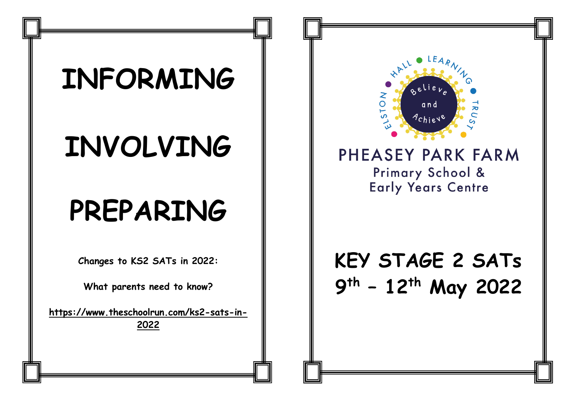# **INFORMING**

# **INVOLVING**

## **PREPARING**

**Changes to KS2 SATs in 2022:**

**What parents need to know?**

**[https://www.theschoolrun.com/ks2-sats-in-](https://www.theschoolrun.com/ks2-sats-in-2022)[2022](https://www.theschoolrun.com/ks2-sats-in-2022)**



#### PHEASEY PARK FARM Primary School & **Early Years Centre**

### **KEY STAGE 2 SATs 9 th – 12 th May 2022**